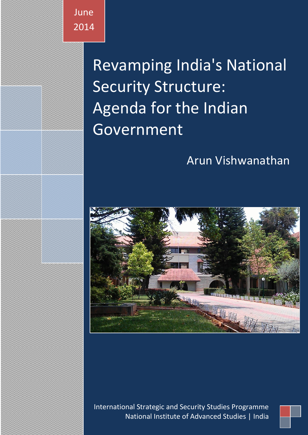**June** 2014

> Revamping India's National Security Structure: Agenda for the Indian Government

# Arun Vishwanathan



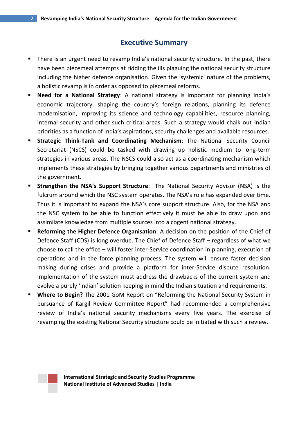# **Executive Summary**

- There is an urgent need to revamp India's national security structure. In the past, there have been piecemeal attempts at ridding the ills plaguing the national security structure including the higher defence organisation. Given the 'systemic' nature of the problems, a holistic revamp is in order as opposed to piecemeal reforms.
- **Need for a National Strategy**: A national strategy is important for planning India's economic trajectory, shaping the country's foreign relations, planning its defence modernisation, improving its science and technology capabilities, resource planning, internal security and other such critical areas. Such a strategy would chalk out Indian priorities as a function of India's aspirations, security challenges and available resources.
- **Strategic Think-Tank and Coordinating Mechanism**: The National Security Council Secretariat (NSCS) could be tasked with drawing up holistic medium to long-term strategies in various areas. The NSCS could also act as a coordinating mechanism which implements these strategies by bringing together various departments and ministries of the government.
- **Strengthen the NSA's Support Structure**: The National Security Advisor (NSA) is the fulcrum around which the NSC system operates. The NSA's role has expanded over time. Thus it is important to expand the NSA's core support structure. Also, for the NSA and the NSC system to be able to function effectively it must be able to draw upon and assimilate knowledge from multiple sources into a cogent national strategy.
- **Reforming the Higher Defence Organisation**: A decision on the position of the Chief of Defence Staff (CDS) is long overdue. The Chief of Defence Staff – regardless of what we choose to call the office – will foster inter-Service coordination in planning, execution of operations and in the force planning process. The system will ensure faster decision making during crises and provide a platform for inter-Service dispute resolution. Implementation of the system must address the drawbacks of the current system and evolve a purely 'Indian' solution keeping in mind the Indian situation and requirements.
- **Where to Begin?** The 2001 GoM Report on "Reforming the National Security System in pursuance of Kargil Review Committee Report" had recommended a comprehensive review of India's national security mechanisms every five years. The exercise of revamping the existing National Security structure could be initiated with such a review.

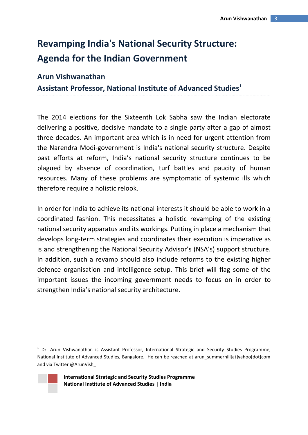# **Revamping India's National Security Structure: Agenda for the Indian Government**

# **Arun Vishwanathan**

**Assistant Professor, National Institute of Advanced Studies<sup>1</sup>**

The 2014 elections for the Sixteenth Lok Sabha saw the Indian electorate delivering a positive, decisive mandate to a single party after a gap of almost three decades. An important area which is in need for urgent attention from the Narendra Modi-government is India's national security structure. Despite past efforts at reform, India's national security structure continues to be plagued by absence of coordination, turf battles and paucity of human resources. Many of these problems are symptomatic of systemic ills which therefore require a holistic relook.

In order for India to achieve its national interests it should be able to work in a coordinated fashion. This necessitates a holistic revamping of the existing national security apparatus and its workings. Putting in place a mechanism that develops long-term strategies and coordinates their execution is imperative as is and strengthening the National Security Advisor's (NSA's) support structure. In addition, such a revamp should also include reforms to the existing higher defence organisation and intelligence setup. This brief will flag some of the important issues the incoming government needs to focus on in order to strengthen India's national security architecture.

<sup>&</sup>lt;sup>1</sup> Dr. Arun Vishwanathan is Assistant Professor, International Strategic and Security Studies Programme, National Institute of Advanced Studies, Bangalore. He can be reached at arun summerhill[at]yahoo[dot]com and via Twitter @ArunVish\_



**.** 

**International Strategic and Security Studies Programme National Institute of Advanced Studies | India**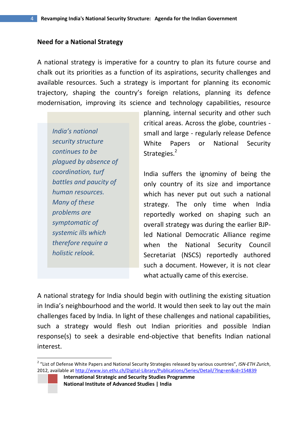#### **Need for a National Strategy**

A national strategy is imperative for a country to plan its future course and chalk out its priorities as a function of its aspirations, security challenges and available resources. Such a strategy is important for planning its economic trajectory, shaping the country's foreign relations, planning its defence modernisation, improving its science and technology capabilities, resource

*India's national security structure continues to be plagued by absence of coordination, turf battles and paucity of human resources. Many of these problems are symptomatic of systemic ills which therefore require a holistic relook.*

**.** 

planning, internal security and other such critical areas. Across the globe, countries small and large - regularly release Defence White Papers or National Security Strategies.<sup>2</sup>

India suffers the ignominy of being the only country of its size and importance which has never put out such a national strategy. The only time when India reportedly worked on shaping such an overall strategy was during the earlier BJPled National Democratic Alliance regime when the National Security Council Secretariat (NSCS) reportedly authored such a document. However, it is not clear what actually came of this exercise.

A national strategy for India should begin with outlining the existing situation in India's neighbourhood and the world. It would then seek to lay out the main challenges faced by India. In light of these challenges and national capabilities, such a strategy would flesh out Indian priorities and possible Indian response(s) to seek a desirable end-objective that benefits Indian national interest.

<sup>2</sup> "List of Defense White Papers and National Security Strategies released by various countries", *ISN-ETH Zurich*, 2012, available a[t http://www.isn.ethz.ch/Digital-Library/Publications/Series/Detail/?lng=en&id=154839](http://www.isn.ethz.ch/Digital-Library/Publications/Series/Detail/?lng=en&id=154839)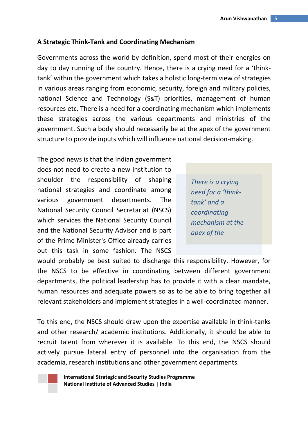#### **A Strategic Think-Tank and Coordinating Mechanism**

Governments across the world by definition, spend most of their energies on day to day running of the country. Hence, there is a crying need for a 'thinktank' within the government which takes a holistic long-term view of strategies in various areas ranging from economic, security, foreign and military policies, national Science and Technology (S&T) priorities, management of human resources etc. There is a need for a coordinating mechanism which implements these strategies across the various departments and ministries of the government. Such a body should necessarily be at the apex of the government structure to provide inputs which will influence national decision-making.

The good news is that the Indian government does not need to create a new institution to shoulder the responsibility of shaping national strategies and coordinate among various government departments. The National Security Council Secretariat (NSCS) which services the National Security Council and the National Security Advisor and is part of the Prime Minister's Office already carries out this task in some fashion. The NSCS

*There is a crying need for a 'thinktank' and a coordinating mechanism at the apex of the* 

would probably be best suited to discharge this responsibility. However, for the NSCS to be effective in coordinating between different government departments, the political leadership has to provide it with a clear mandate, human resources and adequate powers so as to be able to bring together all relevant stakeholders and implement strategies in a well-coordinated manner.

To this end, the NSCS should draw upon the expertise available in think-tanks and other research/ academic institutions. Additionally, it should be able to recruit talent from wherever it is available. To this end, the NSCS should actively pursue lateral entry of personnel into the organisation from the academia, research institutions and other government departments.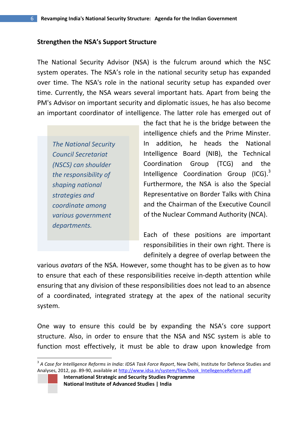#### **Strengthen the NSA's Support Structure**

The National Security Advisor (NSA) is the fulcrum around which the NSC system operates. The NSA's role in the national security setup has expanded over time. The NSA's role in the national security setup has expanded over time. Currently, the NSA wears several important hats. Apart from being the PM's Advisor on important security and diplomatic issues, he has also become an important coordinator of intelligence. The latter role has emerged out of

*The National Security Council Secretariat (NSCS) can shoulder the responsibility of shaping national strategies and coordinate among various government departments.* 

**.** 

the fact that he is the bridge between the intelligence chiefs and the Prime Minster. In addition, he heads the National Intelligence Board (NIB), the Technical Coordination Group (TCG) and the Intelligence Coordination Group (ICG).<sup>3</sup> Furthermore, the NSA is also the Special Representative on Border Talks with China and the Chairman of the Executive Council of the Nuclear Command Authority (NCA).

Each of these positions are important responsibilities in their own right. There is definitely a degree of overlap between the

various *avatars* of the NSA. However, some thought has to be given as to how to ensure that each of these responsibilities receive in-depth attention while ensuring that any division of these responsibilities does not lead to an absence of a coordinated, integrated strategy at the apex of the national security system.

One way to ensure this could be by expanding the NSA's core support structure. Also, in order to ensure that the NSA and NSC system is able to function most effectively, it must be able to draw upon knowledge from

<sup>3</sup> *A Case for Intelligence Reforms in India: IDSA Task Force Report*, New Delhi, Institute for Defence Studies and Analyses, 2012, pp. 89-90, available at [http://www.idsa.in/system/files/book\\_IntellegenceReform.pdf](http://www.idsa.in/system/files/book_IntellegenceReform.pdf)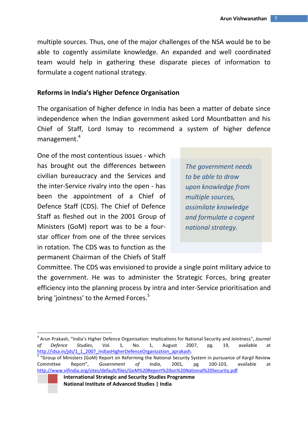multiple sources. Thus, one of the major challenges of the NSA would be to be able to cogently assimilate knowledge. An expanded and well coordinated team would help in gathering these disparate pieces of information to formulate a cogent national strategy.

## **Reforms in India's Higher Defence Organisation**

The organisation of higher defence in India has been a matter of debate since independence when the Indian government asked Lord Mountbatten and his Chief of Staff, Lord Ismay to recommend a system of higher defence management.<sup>4</sup>

One of the most contentious issues - which has brought out the differences between civilian bureaucracy and the Services and the inter-Service rivalry into the open - has been the appointment of a Chief of Defence Staff (CDS). The Chief of Defence Staff as fleshed out in the 2001 Group of Ministers (GoM) report was to be a fourstar officer from one of the three services in rotation. The CDS was to function as the permanent Chairman of the Chiefs of Staff

1

*The government needs to be able to draw upon knowledge from multiple sources, assimilate knowledge and formulate a cogent national strategy.*

Committee. The CDS was envisioned to provide a single point military advice to the government. He was to administer the Strategic Forces, bring greater efficiency into the planning process by intra and inter-Service prioritisation and bring 'jointness' to the Armed Forces.<sup>5</sup>

<sup>4</sup> Arun Prakash, "India's Higher Defence Organisation: Implications for National Security and Jointness", *Journal of Defence Studies*, Vol. 1, No. 1, August 2007, pg. 19, available at [http://idsa.in/jds/1\\_1\\_2007\\_IndiasHigherDefenceOrganization\\_aprakash.](http://idsa.in/jds/1_1_2007_IndiasHigherDefenceOrganization_aprakash)

<sup>&</sup>lt;sup>5</sup> "Group of Ministers (GoM) Report on Reforming the National Security System in pursuance of Kargil Review Committee Report", *Government of India*, 2001, pg 100-103, available at <http://www.vifindia.org/sites/default/files/GoM%20Report%20on%20National%20Security.pdf>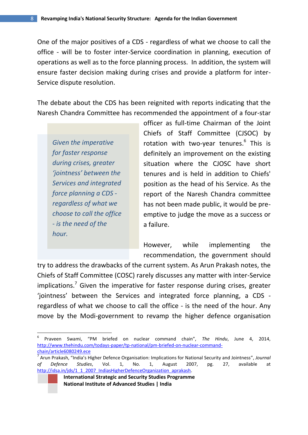One of the major positives of a CDS - regardless of what we choose to call the office - will be to foster inter-Service coordination in planning, execution of operations as well as to the force planning process. In addition, the system will ensure faster decision making during crises and provide a platform for inter-Service dispute resolution.

The debate about the CDS has been reignited with reports indicating that the Naresh Chandra Committee has recommended the appointment of a four-star

*Given the imperative for faster response during crises, greater 'jointness' between the Services and integrated force planning a CDS regardless of what we choose to call the office - is the need of the hour.*

1

officer as full-time Chairman of the Joint Chiefs of Staff Committee (CJSOC) by rotation with two-year tenures.<sup>6</sup> This is definitely an improvement on the existing situation where the CJOSC have short tenures and is held in addition to Chiefs' position as the head of his Service. As the report of the Naresh Chandra committee has not been made public, it would be preemptive to judge the move as a success or a failure.

However, while implementing the recommendation, the government should

try to address the drawbacks of the current system. As Arun Prakash notes, the Chiefs of Staff Committee (COSC) rarely discusses any matter with inter-Service implications.<sup>7</sup> Given the imperative for faster response during crises, greater 'jointness' between the Services and integrated force planning, a CDS regardless of what we choose to call the office - is the need of the hour. Any move by the Modi-government to revamp the higher defence organisation

<sup>6</sup> Praveen Swami, "PM briefed on nuclear command chain", *The Hindu*, June 4, 2014, [http://www.thehindu.com/todays-paper/tp-national/pm-briefed-on-nuclear-command](http://www.thehindu.com/todays-paper/tp-national/pm-briefed-on-nuclear-command-chain/article6080249.ece)[chain/article6080249.ece](http://www.thehindu.com/todays-paper/tp-national/pm-briefed-on-nuclear-command-chain/article6080249.ece)

<sup>7</sup> Arun Prakash, "India's Higher Defence Organisation: Implications for National Security and Jointness", *Journal of Defence Studies*, Vol. 1, No. 1, August 2007, pg. 27, available at [http://idsa.in/jds/1\\_1\\_2007\\_IndiasHigherDefenceOrganization\\_aprakash.](http://idsa.in/jds/1_1_2007_IndiasHigherDefenceOrganization_aprakash)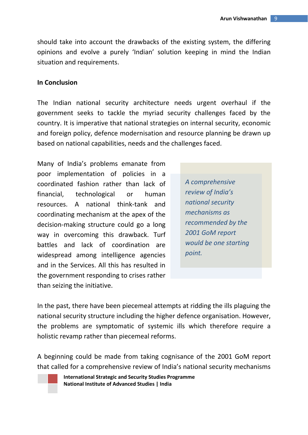should take into account the drawbacks of the existing system, the differing opinions and evolve a purely 'Indian' solution keeping in mind the Indian situation and requirements.

#### **In Conclusion**

The Indian national security architecture needs urgent overhaul if the government seeks to tackle the myriad security challenges faced by the country. It is imperative that national strategies on internal security, economic and foreign policy, defence modernisation and resource planning be drawn up based on national capabilities, needs and the challenges faced.

Many of India's problems emanate from poor implementation of policies in a coordinated fashion rather than lack of financial, technological or human resources. A national think-tank and coordinating mechanism at the apex of the decision-making structure could go a long way in overcoming this drawback. Turf battles and lack of coordination are widespread among intelligence agencies and in the Services. All this has resulted in the government responding to crises rather than seizing the initiative.

*A comprehensive review of India's national security mechanisms as recommended by the 2001 GoM report would be one starting point.*

In the past, there have been piecemeal attempts at ridding the ills plaguing the national security structure including the higher defence organisation. However, the problems are symptomatic of systemic ills which therefore require a holistic revamp rather than piecemeal reforms.

A beginning could be made from taking cognisance of the 2001 GoM report that called for a comprehensive review of India's national security mechanisms